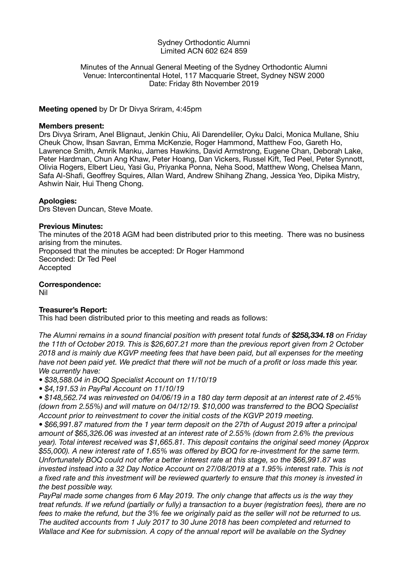#### Sydney Orthodontic Alumni Limited ACN 602 624 859

### Minutes of the Annual General Meeting of the Sydney Orthodontic Alumni Venue: Intercontinental Hotel, 117 Macquarie Street, Sydney NSW 2000 Date: Friday 8th November 2019

## **Meeting opened** by Dr Dr Divya Sriram, 4:45pm

### **Members present:**

Drs Divya Sriram, Anel Blignaut, Jenkin Chiu, Ali Darendeliler, Oyku Dalci, Monica Mullane, Shiu Cheuk Chow, Ihsan Savran, Emma McKenzie, Roger Hammond, Matthew Foo, Gareth Ho, Lawrence Smith, Amrik Manku, James Hawkins, David Armstrong, Eugene Chan, Deborah Lake, Peter Hardman, Chun Ang Khaw, Peter Hoang, Dan Vickers, Russel Kift, Ted Peel, Peter Synnott, Olivia Rogers, Elbert Lieu, Yasi Gu, Priyanka Ponna, Neha Sood, Matthew Wong, Chelsea Mann, Safa Al-Shafi, Geoffrey Squires, Allan Ward, Andrew Shihang Zhang, Jessica Yeo, Dipika Mistry, Ashwin Nair, Hui Theng Chong.

### **Apologies:**

Drs Steven Duncan, Steve Moate.

### **Previous Minutes:**

The minutes of the 2018 AGM had been distributed prior to this meeting. There was no business arising from the minutes. Proposed that the minutes be accepted: Dr Roger Hammond Seconded: Dr Ted Peel Accepted

**Correspondence:** 

Nil

# **Treasurer's Report:**

This had been distributed prior to this meeting and reads as follows:

*The Alumni remains in a sound financial position with present total funds of \$258,334.18 on Friday the 11th of October 2019. This is \$26,607.21 more than the previous report given from 2 October 2018 and is mainly due KGVP meeting fees that have been paid, but all expenses for the meeting have not been paid yet. We predict that there will not be much of a profit or loss made this year. We currently have:*

*• \$38,588.04 in BOQ Specialist Account on 11/10/19*

*• \$4,191.53 in PayPal Account on 11/10/19*

*• \$148,562.74 was reinvested on 04/06/19 in a 180 day term deposit at an interest rate of 2.45% (down from 2.55%) and will mature on 04/12/19. \$10,000 was transferred to the BOQ Specialist Account prior to reinvestment to cover the initial costs of the KGVP 2019 meeting.*

*• \$66,991.87 matured from the 1 year term deposit on the 27th of August 2019 after a principal amount of \$65,326.06 was invested at an interest rate of 2.55% (down from 2.6% the previous year). Total interest received was \$1,665.81. This deposit contains the original seed money (Approx \$55,000). A new interest rate of 1.65% was offered by BOQ for re-investment for the same term. Unfortunately BOQ could not offer a better interest rate at this stage, so the \$66,991.87 was invested instead into a 32 Day Notice Account on 27/08/2019 at a 1.95% interest rate. This is not a fixed rate and this investment will be reviewed quarterly to ensure that this money is invested in the best possible way.* 

*PayPal made some changes from 6 May 2019. The only change that affects us is the way they treat refunds. If we refund (partially or fully) a transaction to a buyer (registration fees), there are no fees to make the refund, but the 3% fee we originally paid as the seller will not be returned to us. The audited accounts from 1 July 2017 to 30 June 2018 has been completed and returned to Wallace and Kee for submission. A copy of the annual report will be available on the Sydney*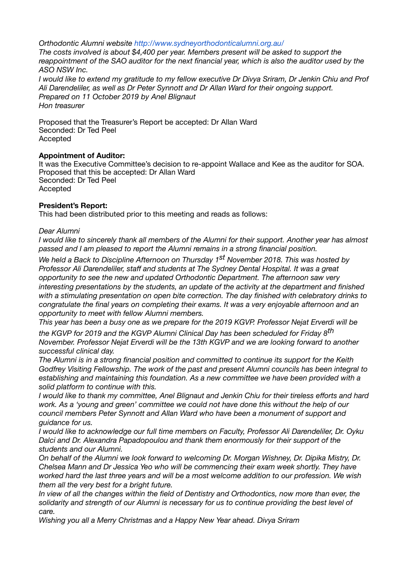*Orthodontic Alumni website http://www.sydneyorthodonticalumni.org.au/*

*The costs involved is about \$4,400 per year. Members present will be asked to support the reappointment of the SAO auditor for the next financial year, which is also the auditor used by the ASO NSW Inc.* 

*I would like to extend my gratitude to my fellow executive Dr Divya Sriram, Dr Jenkin Chiu and Prof Ali Darendeliler, as well as Dr Peter Synnott and Dr Allan Ward for their ongoing support. Prepared on 11 October 2019 by Anel Blignaut Hon treasurer* 

Proposed that the Treasurer's Report be accepted: Dr Allan Ward Seconded: Dr Ted Peel Accepted

## **Appointment of Auditor:**

It was the Executive Committee's decision to re-appoint Wallace and Kee as the auditor for SOA. Proposed that this be accepted: Dr Allan Ward Seconded: Dr Ted Peel Accepted

# **President's Report:**

This had been distributed prior to this meeting and reads as follows:

## *Dear Alumni*

*I would like to sincerely thank all members of the Alumni for their support. Another year has almost passed and I am pleased to report the Alumni remains in a strong financial position.* 

*We held a Back to Discipline Afternoon on Thursday 1st November 2018. This was hosted by Professor Ali Darendeliler, staff and students at The Sydney Dental Hospital. It was a great opportunity to see the new and updated Orthodontic Department. The afternoon saw very interesting presentations by the students, an update of the activity at the department and finished with a stimulating presentation on open bite correction. The day finished with celebratory drinks to congratulate the final years on completing their exams. It was a very enjoyable afternoon and an opportunity to meet with fellow Alumni members.* 

*This year has been a busy one as we prepare for the 2019 KGVP. Professor Nejat Erverdi will be* 

*the KGVP for 2019 and the KGVP Alumni Clinical Day has been scheduled for Friday 8th November. Professor Nejat Erverdi will be the 13th KGVP and we are looking forward to another successful clinical day.* 

*The Alumni is in a strong financial position and committed to continue its support for the Keith Godfrey Visiting Fellowship. The work of the past and present Alumni councils has been integral to establishing and maintaining this foundation. As a new committee we have been provided with a solid platform to continue with this.* 

*I would like to thank my committee, Anel Blignaut and Jenkin Chiu for their tireless efforts and hard work. As a 'young and green' committee we could not have done this without the help of our council members Peter Synnott and Allan Ward who have been a monument of support and guidance for us.* 

*I would like to acknowledge our full time members on Faculty, Professor Ali Darendeliler, Dr. Oyku Dalci and Dr. Alexandra Papadopoulou and thank them enormously for their support of the students and our Alumni.*

*On behalf of the Alumni we look forward to welcoming Dr. Morgan Wishney, Dr. Dipika Mistry, Dr. Chelsea Mann and Dr Jessica Yeo who will be commencing their exam week shortly. They have worked hard the last three years and will be a most welcome addition to our profession. We wish them all the very best for a bright future.* 

*In view of all the changes within the field of Dentistry and Orthodontics, now more than ever, the solidarity and strength of our Alumni is necessary for us to continue providing the best level of care.* 

*Wishing you all a Merry Christmas and a Happy New Year ahead. Divya Sriram*